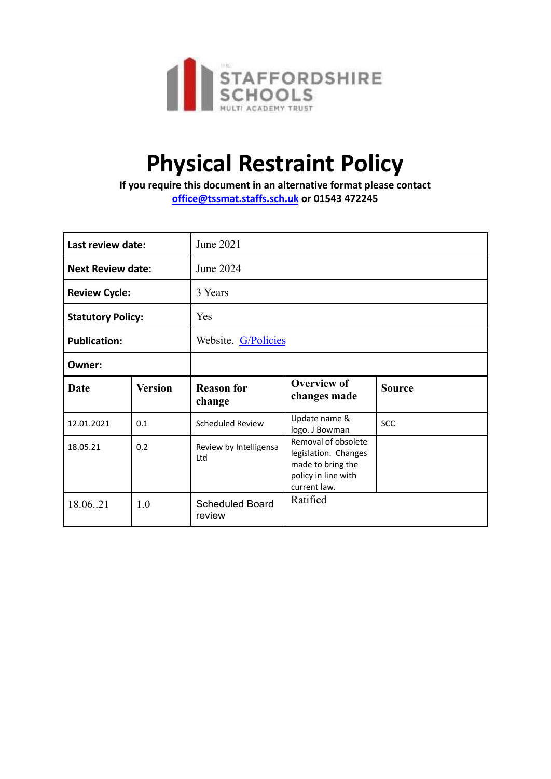

# **Physical Restraint Policy**

**If you require this document in an alternative format please contact [office@tssmat.staffs.sch.uk](mailto:office@tssmat.staffs.sch.uk) or 01543 472245**

| Last review date:        |                | June 2021                        |                                                                                                         |               |
|--------------------------|----------------|----------------------------------|---------------------------------------------------------------------------------------------------------|---------------|
| <b>Next Review date:</b> |                | June 2024                        |                                                                                                         |               |
| <b>Review Cycle:</b>     |                | 3 Years                          |                                                                                                         |               |
| <b>Statutory Policy:</b> |                | Yes                              |                                                                                                         |               |
| <b>Publication:</b>      |                | Website. G/Policies              |                                                                                                         |               |
| Owner:                   |                |                                  |                                                                                                         |               |
| Date                     | <b>Version</b> | <b>Reason for</b><br>change      | <b>Overview of</b><br>changes made                                                                      | <b>Source</b> |
| 12.01.2021               | 0.1            | Scheduled Review                 | Update name &<br>logo. J Bowman                                                                         | <b>SCC</b>    |
| 18.05.21                 | 0.2            | Review by Intelligensa<br>Ltd    | Removal of obsolete<br>legislation. Changes<br>made to bring the<br>policy in line with<br>current law. |               |
| 18.0621                  | 1.0            | <b>Scheduled Board</b><br>review | Ratified                                                                                                |               |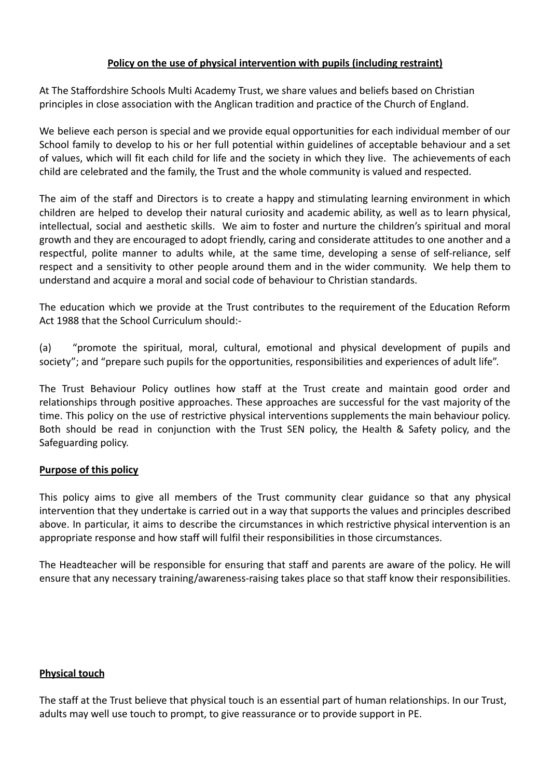# **Policy on the use of physical intervention with pupils (including restraint)**

At The Staffordshire Schools Multi Academy Trust, we share values and beliefs based on Christian principles in close association with the Anglican tradition and practice of the Church of England.

We believe each person is special and we provide equal opportunities for each individual member of our School family to develop to his or her full potential within guidelines of acceptable behaviour and a set of values, which will fit each child for life and the society in which they live. The achievements of each child are celebrated and the family, the Trust and the whole community is valued and respected.

The aim of the staff and Directors is to create a happy and stimulating learning environment in which children are helped to develop their natural curiosity and academic ability, as well as to learn physical, intellectual, social and aesthetic skills. We aim to foster and nurture the children's spiritual and moral growth and they are encouraged to adopt friendly, caring and considerate attitudes to one another and a respectful, polite manner to adults while, at the same time, developing a sense of self-reliance, self respect and a sensitivity to other people around them and in the wider community. We help them to understand and acquire a moral and social code of behaviour to Christian standards.

The education which we provide at the Trust contributes to the requirement of the Education Reform Act 1988 that the School Curriculum should:-

(a) "promote the spiritual, moral, cultural, emotional and physical development of pupils and society"; and "prepare such pupils for the opportunities, responsibilities and experiences of adult life".

The Trust Behaviour Policy outlines how staff at the Trust create and maintain good order and relationships through positive approaches. These approaches are successful for the vast majority of the time. This policy on the use of restrictive physical interventions supplements the main behaviour policy. Both should be read in conjunction with the Trust SEN policy, the Health & Safety policy, and the Safeguarding policy.

## **Purpose of this policy**

This policy aims to give all members of the Trust community clear guidance so that any physical intervention that they undertake is carried out in a way that supports the values and principles described above. In particular, it aims to describe the circumstances in which restrictive physical intervention is an appropriate response and how staff will fulfil their responsibilities in those circumstances.

The Headteacher will be responsible for ensuring that staff and parents are aware of the policy. He will ensure that any necessary training/awareness-raising takes place so that staff know their responsibilities.

#### **Physical touch**

The staff at the Trust believe that physical touch is an essential part of human relationships. In our Trust, adults may well use touch to prompt, to give reassurance or to provide support in PE.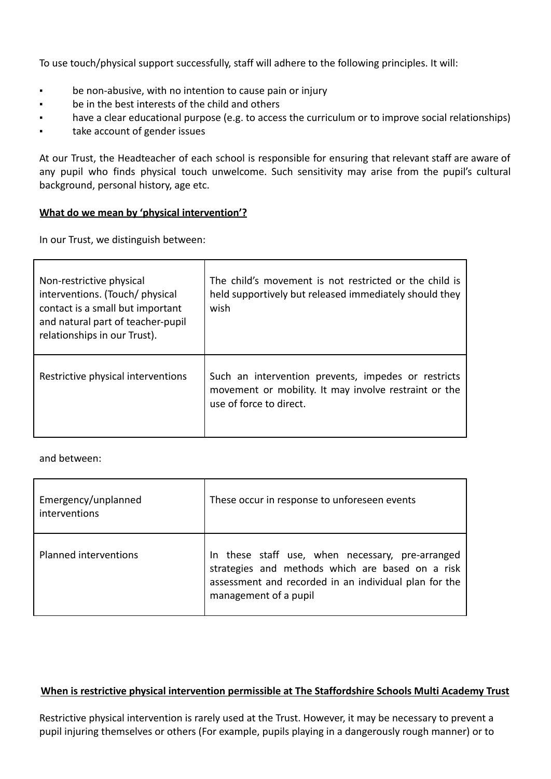To use touch/physical support successfully, staff will adhere to the following principles. It will:

- be non-abusive, with no intention to cause pain or injury
- be in the best interests of the child and others
- have a clear educational purpose (e.g. to access the curriculum or to improve social relationships)
- take account of gender issues

At our Trust, the Headteacher of each school is responsible for ensuring that relevant staff are aware of any pupil who finds physical touch unwelcome. Such sensitivity may arise from the pupil's cultural background, personal history, age etc.

#### **What do we mean by 'physical intervention'?**

In our Trust, we distinguish between:

| Non-restrictive physical<br>interventions. (Touch/ physical<br>contact is a small but important<br>and natural part of teacher-pupil<br>relationships in our Trust). | The child's movement is not restricted or the child is<br>held supportively but released immediately should they<br>wish                |
|----------------------------------------------------------------------------------------------------------------------------------------------------------------------|-----------------------------------------------------------------------------------------------------------------------------------------|
| Restrictive physical interventions                                                                                                                                   | Such an intervention prevents, impedes or restricts<br>movement or mobility. It may involve restraint or the<br>use of force to direct. |

and between:

| Emergency/unplanned<br>interventions | These occur in response to unforeseen events                                                                                                                                           |
|--------------------------------------|----------------------------------------------------------------------------------------------------------------------------------------------------------------------------------------|
| Planned interventions                | In these staff use, when necessary, pre-arranged<br>strategies and methods which are based on a risk<br>assessment and recorded in an individual plan for the<br>management of a pupil |

#### **When is restrictive physical intervention permissible at The Staffordshire Schools Multi Academy Trust**

Restrictive physical intervention is rarely used at the Trust. However, it may be necessary to prevent a pupil injuring themselves or others (For example, pupils playing in a dangerously rough manner) or to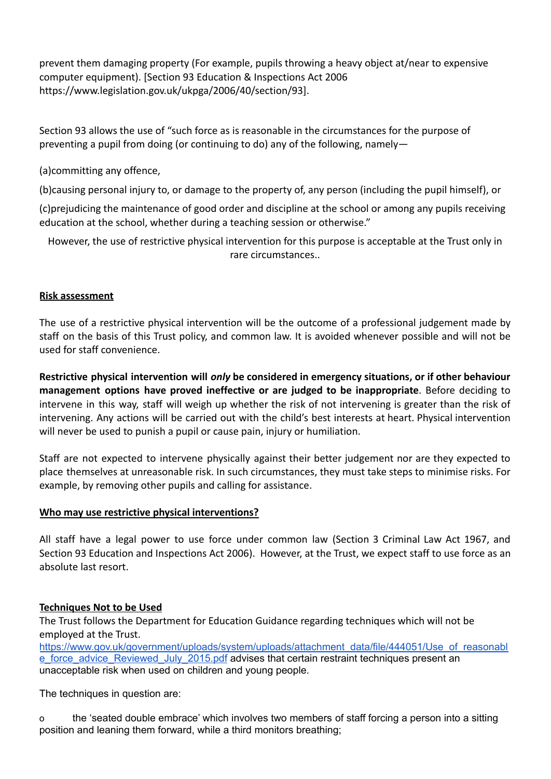prevent them damaging property (For example, pupils throwing a heavy object at/near to expensive computer equipment). [Section 93 Education & Inspections Act 2006 https://www.legislation.gov.uk/ukpga/2006/40/section/93].

Section 93 allows the use of "such force as is reasonable in the circumstances for the purpose of preventing a pupil from doing (or continuing to do) any of the following, namely—

(a)committing any offence,

(b)causing personal injury to, or damage to the property of, any person (including the pupil himself), or

(c)prejudicing the maintenance of good order and discipline at the school or among any pupils receiving education at the school, whether during a teaching session or otherwise."

However, the use of restrictive physical intervention for this purpose is acceptable at the Trust only in rare circumstances..

# **Risk assessment**

The use of a restrictive physical intervention will be the outcome of a professional judgement made by staff on the basis of this Trust policy, and common law. It is avoided whenever possible and will not be used for staff convenience.

**Restrictive physical intervention will** *only* **be considered in emergency situations, or if other behaviour management options have proved ineffective or are judged to be inappropriate**. Before deciding to intervene in this way, staff will weigh up whether the risk of not intervening is greater than the risk of intervening. Any actions will be carried out with the child's best interests at heart. Physical intervention will never be used to punish a pupil or cause pain, injury or humiliation.

Staff are not expected to intervene physically against their better judgement nor are they expected to place themselves at unreasonable risk. In such circumstances, they must take steps to minimise risks. For example, by removing other pupils and calling for assistance.

## **Who may use restrictive physical interventions?**

All staff have a legal power to use force under common law (Section 3 Criminal Law Act 1967, and Section 93 Education and Inspections Act 2006). However, at the Trust, we expect staff to use force as an absolute last resort.

## **Techniques Not to be Used**

The Trust follows the Department for Education Guidance regarding techniques which will not be employed at the Trust.

[https://www.gov.uk/government/uploads/system/uploads/attachment\\_data/file/444051/Use\\_of\\_reasonabl](https://www.gov.uk/government/uploads/system/uploads/attachment_data/file/444051/Use_of_reasonable_force_advice_Reviewed_July_2015.pdf) [e\\_force\\_advice\\_Reviewed\\_July\\_2015.pdf](https://www.gov.uk/government/uploads/system/uploads/attachment_data/file/444051/Use_of_reasonable_force_advice_Reviewed_July_2015.pdf) advises that certain restraint techniques present an unacceptable risk when used on children and young people.

The techniques in question are:

o the 'seated double embrace' which involves two members of staff forcing a person into a sitting position and leaning them forward, while a third monitors breathing;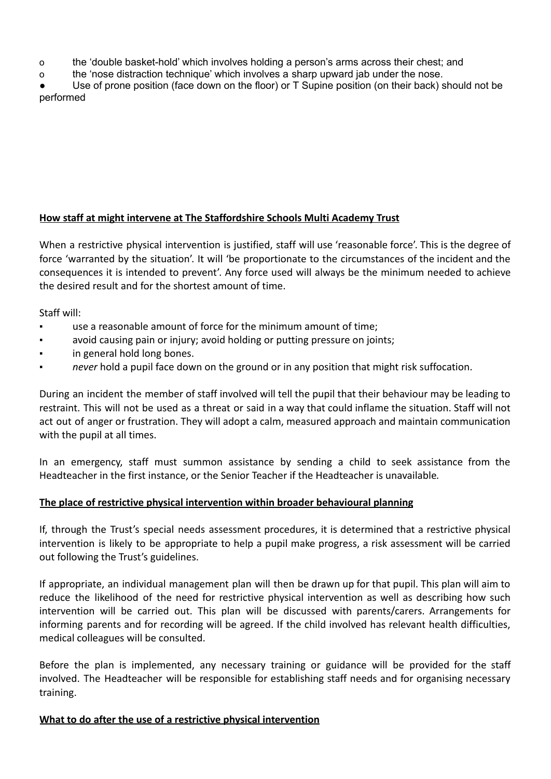o the 'double basket-hold' which involves holding a person's arms across their chest; and

o the 'nose distraction technique' which involves a sharp upward jab under the nose.

Use of prone position (face down on the floor) or T Supine position (on their back) should not be performed

## **How staff at might intervene at The Staffordshire Schools Multi Academy Trust**

When a restrictive physical intervention is justified, staff will use 'reasonable force'. This is the degree of force 'warranted by the situation'. It will 'be proportionate to the circumstances of the incident and the consequences it is intended to prevent'. Any force used will always be the minimum needed to achieve the desired result and for the shortest amount of time.

Staff will:

- use a reasonable amount of force for the minimum amount of time;
- avoid causing pain or injury; avoid holding or putting pressure on joints;
- in general hold long bones.
- *never* hold a pupil face down on the ground or in any position that might risk suffocation.

During an incident the member of staff involved will tell the pupil that their behaviour may be leading to restraint. This will not be used as a threat or said in a way that could inflame the situation. Staff will not act out of anger or frustration. They will adopt a calm, measured approach and maintain communication with the pupil at all times.

In an emergency, staff must summon assistance by sending a child to seek assistance from the Headteacher in the first instance, or the Senior Teacher if the Headteacher is unavailable*.*

#### **The place of restrictive physical intervention within broader behavioural planning**

If, through the Trust's special needs assessment procedures, it is determined that a restrictive physical intervention is likely to be appropriate to help a pupil make progress, a risk assessment will be carried out following the Trust's guidelines.

If appropriate, an individual management plan will then be drawn up for that pupil. This plan will aim to reduce the likelihood of the need for restrictive physical intervention as well as describing how such intervention will be carried out. This plan will be discussed with parents/carers. Arrangements for informing parents and for recording will be agreed. If the child involved has relevant health difficulties, medical colleagues will be consulted.

Before the plan is implemented, any necessary training or guidance will be provided for the staff involved. The Headteacher will be responsible for establishing staff needs and for organising necessary training.

#### **What to do after the use of a restrictive physical intervention**